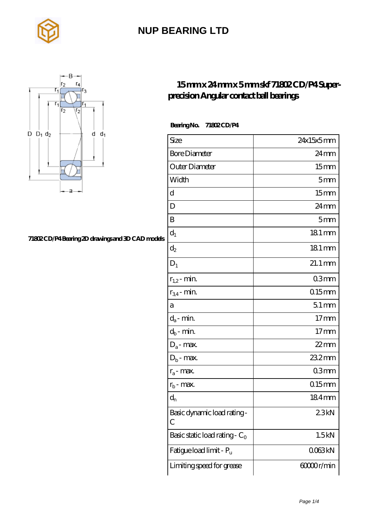



#### **[71802 CD/P4 Bearing 2D drawings and 3D CAD models](https://rsi-center.com/pic-251657.html)**

#### **[15 mm x 24 mm x 5 mm skf 71802 CD/P4 Super](https://rsi-center.com/af-251657-skf-71802-cd-p4-super-precision-angular-contact-ball-bearings.html)[precision Angular contact ball bearings](https://rsi-center.com/af-251657-skf-71802-cd-p4-super-precision-angular-contact-ball-bearings.html)**

 **Bearing No. 71802 CD/P4**

| Size                             | 24x15x5mm           |
|----------------------------------|---------------------|
| <b>Bore Diameter</b>             | $24 \text{mm}$      |
| Outer Diameter                   | 15 <sub>mm</sub>    |
| Width                            | 5 <sub>mm</sub>     |
| d                                | 15 <sub>mm</sub>    |
| D                                | 24mm                |
| B                                | 5 <sub>mm</sub>     |
| $d_1$                            | 181 mm              |
| $\mathrm{d}_2$                   | $181 \,\mathrm{mm}$ |
| $D_1$                            | $21.1 \text{mm}$    |
| $r_{1,2}$ - min.                 | 03 <sub>mm</sub>    |
| $r_{34}$ - min.                  | $0.15$ mm           |
| a                                | $51 \,\mathrm{mm}$  |
| $d_a$ - min.                     | 17 <sub>mm</sub>    |
| $d_b\operatorname{-} \min$       | 17 <sub>mm</sub>    |
| $D_a$ - max.                     | $22$ mm             |
| $D_b$ - max.                     | 23.2mm              |
| $r_a$ - max.                     | 03 <sub>mm</sub>    |
| $r_{b}$ - max.                   | $0.15$ mm           |
| $d_{n}$                          | $184$ mm            |
| Basic dynamic load rating-<br>С  | 23kN                |
| Basic static load rating - $C_0$ | 1.5kN               |
| Fatigue load limit - Pu          | 0063kN              |
| Limiting speed for grease        | 60000r/min          |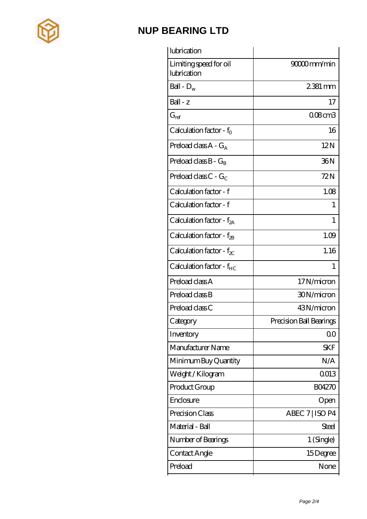

| lubrication                           |                         |
|---------------------------------------|-------------------------|
| Limiting speed for oil<br>lubrication | 90000mm/min             |
| Ball - $D_w$                          | $2381 \,\mathrm{mm}$    |
| Ball - z                              | 17                      |
| $\mathrm{G}_{\mathrm{ref}}$           | 008cm3                  |
| Calculation factor - $f_0$            | 16                      |
| Preload class $A - G_A$               | 12N                     |
| Preload class $B - G_B$               | 36N                     |
| Preload class C - $G_C$               | 72N                     |
| Calculation factor - f                | 1.08                    |
| Calculation factor - f                | 1                       |
| Calculation factor - $f_{2A}$         | 1                       |
| Calculation factor - $f_{2B}$         | 1.09                    |
| Calculation factor - $f_{\chi}$       | 1.16                    |
| Calculation factor - $f_{HC}$         | 1                       |
| Preload class A                       | 17N/micron              |
| Preload class B                       | 30N/micron              |
| Preload class C                       | 43N/micron              |
| Category                              | Precision Ball Bearings |
| Inventory                             | QO                      |
| Manufacturer Name                     | <b>SKF</b>              |
| Minimum Buy Quantity                  | N/A                     |
| Weight /Kilogram                      | 0013                    |
| Product Group                         | <b>BO4270</b>           |
| Enclosure                             | Open                    |
| Precision Class                       | ABEC 7   ISO P4         |
| Material - Ball                       | <b>Steel</b>            |
| Number of Bearings                    | 1 (Single)              |
| Contact Angle                         | 15Degree                |
| Preload                               | None                    |
|                                       |                         |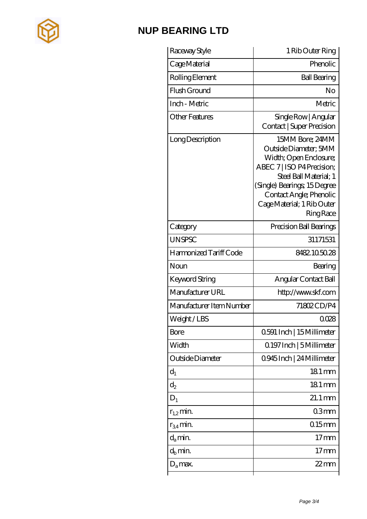

| Raceway Style            | 1 Rib Outer Ring                                                                                                                                                                                                                       |
|--------------------------|----------------------------------------------------------------------------------------------------------------------------------------------------------------------------------------------------------------------------------------|
| Cage Material            | Phenolic                                                                                                                                                                                                                               |
| Rolling Element          | <b>Ball Bearing</b>                                                                                                                                                                                                                    |
| Flush Ground             | No                                                                                                                                                                                                                                     |
| Inch - Metric            | Metric                                                                                                                                                                                                                                 |
| <b>Other Features</b>    | Single Row   Angular<br><b>Contact   Super Precision</b>                                                                                                                                                                               |
| Long Description         | 15MM Bore; 24MM<br>Outside Diameter; 5MM<br>Width; Open Enclosure;<br>ABEC 7   ISO P4 Precision;<br>Steel Ball Material; 1<br>(Single) Bearings; 15Degree<br>Contact Angle; Phenolic<br>Cage Material; 1 Rib Outer<br><b>Ring Race</b> |
| Category                 | Precision Ball Bearings                                                                                                                                                                                                                |
| <b>UNSPSC</b>            | 31171531                                                                                                                                                                                                                               |
| Harmonized Tariff Code   | 8482105028                                                                                                                                                                                                                             |
| Noun                     | Bearing                                                                                                                                                                                                                                |
| Keyword String           | Angular Contact Ball                                                                                                                                                                                                                   |
| Manufacturer URL         | http://www.skf.com                                                                                                                                                                                                                     |
| Manufacturer Item Number | 71802CD/P4                                                                                                                                                                                                                             |
| Weight/LBS               | 0028                                                                                                                                                                                                                                   |
| Bore                     | 0.591 Inch   15 Millimeter                                                                                                                                                                                                             |
| Width                    | 0.197 Inch   5 Millimeter                                                                                                                                                                                                              |
| Outside Diameter         | 0.945 Inch   24 Millimeter                                                                                                                                                                                                             |
| $d_1$                    | $181 \,\mathrm{mm}$                                                                                                                                                                                                                    |
| $d_2$                    | $181 \,\mathrm{mm}$                                                                                                                                                                                                                    |
| $D_1$                    | $21.1 \,\mathrm{mm}$                                                                                                                                                                                                                   |
| $r_{1,2}$ min.           | 03mm                                                                                                                                                                                                                                   |
| $r_{34}$ min.            | $0.15$ mm                                                                                                                                                                                                                              |
| $d_a$ min.               | 17 <sub>mm</sub>                                                                                                                                                                                                                       |
| $d_h$ min.               | $17 \,\mathrm{mm}$                                                                                                                                                                                                                     |
| $D_a$ max.               | $22$ mm                                                                                                                                                                                                                                |